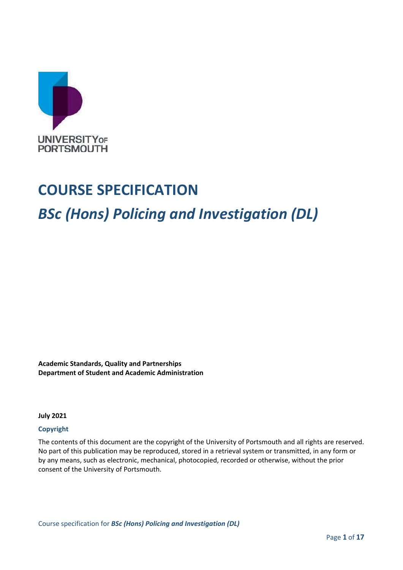

## **COURSE SPECIFICATION**

# *BSc (Hons) Policing and Investigation (DL)*

**Academic Standards, Quality and Partnerships Department of Student and Academic Administration**

**July 2021**

#### **Copyright**

The contents of this document are the copyright of the University of Portsmouth and all rights are reserved. No part of this publication may be reproduced, stored in a retrieval system or transmitted, in any form or by any means, such as electronic, mechanical, photocopied, recorded or otherwise, without the prior consent of the University of Portsmouth.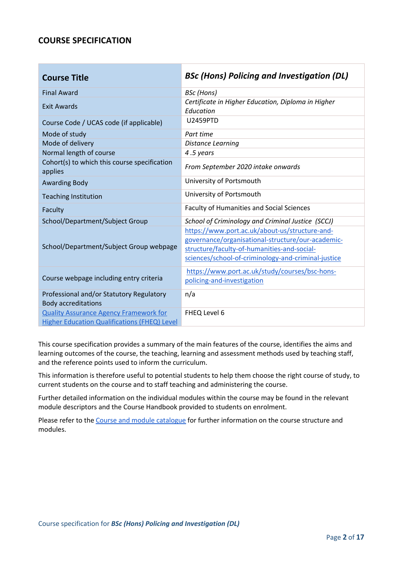### **COURSE SPECIFICATION**

| <b>Course Title</b>                                                                           | <b>BSc (Hons) Policing and Investigation (DL)</b>                                                                                                                                                         |
|-----------------------------------------------------------------------------------------------|-----------------------------------------------------------------------------------------------------------------------------------------------------------------------------------------------------------|
| <b>Final Award</b>                                                                            | <b>BSc</b> (Hons)                                                                                                                                                                                         |
| <b>Exit Awards</b>                                                                            | Certificate in Higher Education, Diploma in Higher<br>Education                                                                                                                                           |
| Course Code / UCAS code (if applicable)                                                       | U2459PTD                                                                                                                                                                                                  |
| Mode of study                                                                                 | Part time                                                                                                                                                                                                 |
| Mode of delivery                                                                              | <b>Distance Learning</b>                                                                                                                                                                                  |
| Normal length of course                                                                       | 4.5 years                                                                                                                                                                                                 |
| Cohort(s) to which this course specification<br>applies                                       | From September 2020 intake onwards                                                                                                                                                                        |
| <b>Awarding Body</b>                                                                          | University of Portsmouth                                                                                                                                                                                  |
| <b>Teaching Institution</b>                                                                   | University of Portsmouth                                                                                                                                                                                  |
| Faculty                                                                                       | <b>Faculty of Humanities and Social Sciences</b>                                                                                                                                                          |
| School/Department/Subject Group                                                               | School of Criminology and Criminal Justice (SCCJ)                                                                                                                                                         |
| School/Department/Subject Group webpage                                                       | https://www.port.ac.uk/about-us/structure-and-<br>governance/organisational-structure/our-academic-<br>structure/faculty-of-humanities-and-social-<br>sciences/school-of-criminology-and-criminal-justice |
| Course webpage including entry criteria                                                       | https://www.port.ac.uk/study/courses/bsc-hons-<br>policing-and-investigation                                                                                                                              |
| Professional and/or Statutory Regulatory<br><b>Body accreditations</b>                        | n/a                                                                                                                                                                                                       |
| <b>Quality Assurance Agency Framework for</b><br>Higher Education Qualifications (FHEQ) Level | FHEQ Level 6                                                                                                                                                                                              |

This course specification provides a summary of the main features of the course, identifies the aims and learning outcomes of the course, the teaching, learning and assessment methods used by teaching staff, and the reference points used to inform the curriculum.

This information is therefore useful to potential students to help them choose the right course of study, to current students on the course and to staff teaching and administering the course.

Further detailed information on the individual modules within the course may be found in the relevant module descriptors and the Course Handbook provided to students on enrolment.

Please refer to th[e Course and module catalogue](https://course-module-catalog.port.ac.uk/#/welcome) for further information on the course structure and modules.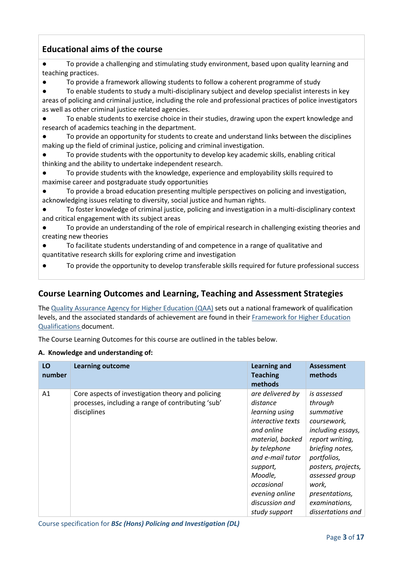## **Educational aims of the course**

● To provide a challenging and stimulating study environment, based upon quality learning and teaching practices.

- To provide a framework allowing students to follow a coherent programme of study
- To enable students to study a multi-disciplinary subject and develop specialist interests in key areas of policing and criminal justice, including the role and professional practices of police investigators as well as other criminal justice related agencies.
- To enable students to exercise choice in their studies, drawing upon the expert knowledge and research of academics teaching in the department.
- To provide an opportunity for students to create and understand links between the disciplines making up the field of criminal justice, policing and criminal investigation.
- To provide students with the opportunity to develop key academic skills, enabling critical thinking and the ability to undertake independent research.
- To provide students with the knowledge, experience and employability skills required to maximise career and postgraduate study opportunities
- To provide a broad education presenting multiple perspectives on policing and investigation, acknowledging issues relating to diversity, social justice and human rights.
- To foster knowledge of criminal justice, policing and investigation in a multi-disciplinary context and critical engagement with its subject areas
- To provide an understanding of the role of empirical research in challenging existing theories and creating new theories
- To facilitate students understanding of and competence in a range of qualitative and quantitative research skills for exploring crime and investigation
- To provide the opportunity to develop transferable skills required for future professional success

#### **Course Learning Outcomes and Learning, Teaching and Assessment Strategies**

Th[e Quality Assurance Agency for Higher Education \(QAA\)](http://www.qaa.ac.uk/en) sets out a national framework of qualification levels, and the associated standards of achievement are found in their [Framework for Higher Education](http://www.qaa.ac.uk/quality-code/the-existing-uk-quality-code/part-a-setting-and-maintaining-academic-standards)  [Qualifications](http://www.qaa.ac.uk/quality-code/the-existing-uk-quality-code/part-a-setting-and-maintaining-academic-standards) document.

The Course Learning Outcomes for this course are outlined in the tables below.

#### **A. Knowledge and understanding of:**

| LO<br>number | <b>Learning outcome</b>                                                                                                | <b>Learning and</b><br><b>Teaching</b><br>methods                                                                                                                                                                                          | <b>Assessment</b><br>methods                                                                                                                                                                                                          |
|--------------|------------------------------------------------------------------------------------------------------------------------|--------------------------------------------------------------------------------------------------------------------------------------------------------------------------------------------------------------------------------------------|---------------------------------------------------------------------------------------------------------------------------------------------------------------------------------------------------------------------------------------|
| A1           | Core aspects of investigation theory and policing<br>processes, including a range of contributing 'sub'<br>disciplines | are delivered by<br>distance<br>learning using<br><i>interactive texts</i><br>and online<br>material, backed<br>by telephone<br>and e-mail tutor<br>support,<br>Moodle,<br>occasional<br>evening online<br>discussion and<br>study support | is assessed<br>through<br>summative<br>coursework,<br>including essays,<br>report writing,<br>briefing notes,<br>portfolios,<br>posters, projects,<br>assessed group<br>work,<br>presentations,<br>examinations,<br>dissertations and |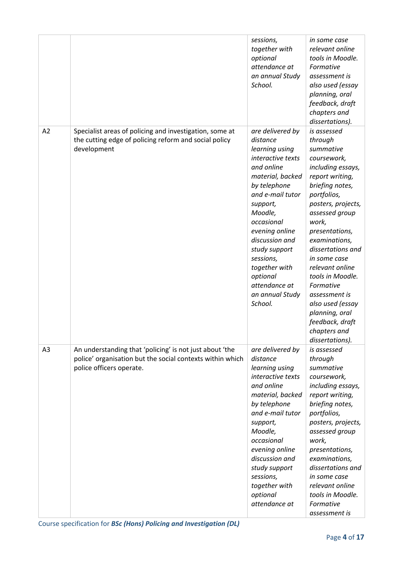|    |                                                                                                                                                  | sessions,<br>together with<br>optional<br>attendance at<br>an annual Study<br>School.                                                                                                                                                                                                                                        | in some case<br>relevant online<br>tools in Moodle.<br>Formative<br>assessment is<br>also used (essay<br>planning, oral<br>feedback, draft<br>chapters and<br>dissertations).                                                                                                                                                                                                                                          |
|----|--------------------------------------------------------------------------------------------------------------------------------------------------|------------------------------------------------------------------------------------------------------------------------------------------------------------------------------------------------------------------------------------------------------------------------------------------------------------------------------|------------------------------------------------------------------------------------------------------------------------------------------------------------------------------------------------------------------------------------------------------------------------------------------------------------------------------------------------------------------------------------------------------------------------|
| A2 | Specialist areas of policing and investigation, some at<br>the cutting edge of policing reform and social policy<br>development                  | are delivered by<br>distance<br>learning using<br>interactive texts<br>and online<br>material, backed<br>by telephone<br>and e-mail tutor<br>support,<br>Moodle,<br>occasional<br>evening online<br>discussion and<br>study support<br>sessions,<br>together with<br>optional<br>attendance at<br>an annual Study<br>School. | is assessed<br>through<br>summative<br>coursework,<br>including essays,<br>report writing,<br>briefing notes,<br>portfolios,<br>posters, projects,<br>assessed group<br>work,<br>presentations,<br>examinations,<br>dissertations and<br>in some case<br>relevant online<br>tools in Moodle.<br>Formative<br>assessment is<br>also used (essay<br>planning, oral<br>feedback, draft<br>chapters and<br>dissertations). |
| A3 | An understanding that 'policing' is not just about 'the<br>police' organisation but the social contexts within which<br>police officers operate. | are delivered by<br>distance<br>learning using<br>interactive texts<br>and online<br>material, backed<br>by telephone<br>and e-mail tutor<br>support,<br>Moodle,<br>occasional<br>evening online<br>discussion and<br>study support<br>sessions,<br>together with<br>optional<br>attendance at                               | is assessed<br>through<br>summative<br>coursework,<br>including essays,<br>report writing,<br>briefing notes,<br>portfolios,<br>posters, projects,<br>assessed group<br>work,<br>presentations,<br>examinations,<br>dissertations and<br>in some case<br>relevant online<br>tools in Moodle.<br>Formative<br>assessment is                                                                                             |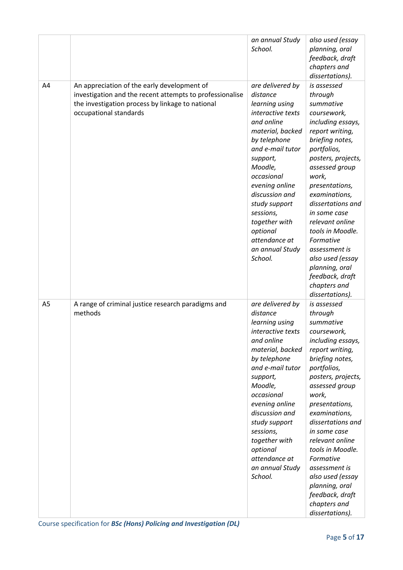|                |                                                                                                                                                                                       | an annual Study<br>School.                                                                                                                                                                                                                                                                                                   | also used (essay<br>planning, oral<br>feedback, draft<br>chapters and<br>dissertations).                                                                                                                                                                                                                                                                                                                               |
|----------------|---------------------------------------------------------------------------------------------------------------------------------------------------------------------------------------|------------------------------------------------------------------------------------------------------------------------------------------------------------------------------------------------------------------------------------------------------------------------------------------------------------------------------|------------------------------------------------------------------------------------------------------------------------------------------------------------------------------------------------------------------------------------------------------------------------------------------------------------------------------------------------------------------------------------------------------------------------|
| A4             | An appreciation of the early development of<br>investigation and the recent attempts to professionalise<br>the investigation process by linkage to national<br>occupational standards | are delivered by<br>distance<br>learning using<br>interactive texts<br>and online<br>material, backed<br>by telephone<br>and e-mail tutor<br>support,<br>Moodle,<br>occasional<br>evening online<br>discussion and<br>study support<br>sessions,<br>together with<br>optional<br>attendance at<br>an annual Study<br>School. | is assessed<br>through<br>summative<br>coursework,<br>including essays,<br>report writing,<br>briefing notes,<br>portfolios,<br>posters, projects,<br>assessed group<br>work,<br>presentations,<br>examinations,<br>dissertations and<br>in some case<br>relevant online<br>tools in Moodle.<br>Formative<br>assessment is<br>also used (essay<br>planning, oral<br>feedback, draft<br>chapters and<br>dissertations). |
| A <sub>5</sub> | A range of criminal justice research paradigms and<br>methods                                                                                                                         | are delivered by<br>distance<br>learning using<br>interactive texts<br>and online<br>material, backed<br>by telephone<br>and e-mail tutor<br>support,<br>Moodle,<br>occasional<br>evening online<br>discussion and<br>study support<br>sessions,<br>together with<br>optional<br>attendance at<br>an annual Study<br>School. | is assessed<br>through<br>summative<br>coursework,<br>including essays,<br>report writing,<br>briefing notes,<br>portfolios,<br>posters, projects,<br>assessed group<br>work,<br>presentations,<br>examinations,<br>dissertations and<br>in some case<br>relevant online<br>tools in Moodle.<br>Formative<br>assessment is<br>also used (essay<br>planning, oral<br>feedback, draft<br>chapters and<br>dissertations). |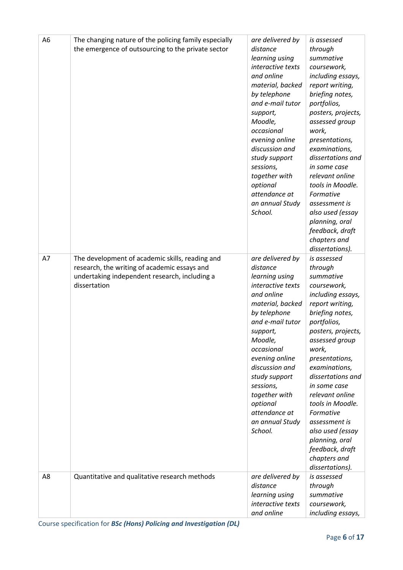| A <sub>6</sub> | The changing nature of the policing family especially<br>the emergence of outsourcing to the private sector                                                      | are delivered by<br>distance<br>learning using<br>interactive texts<br>and online<br>material, backed<br>by telephone<br>and e-mail tutor<br>support,<br>Moodle,<br>occasional<br>evening online<br>discussion and<br>study support<br>sessions,<br>together with<br>optional<br>attendance at<br>an annual Study<br>School. | is assessed<br>through<br>summative<br>coursework,<br>including essays,<br>report writing,<br>briefing notes,<br>portfolios,<br>posters, projects,<br>assessed group<br>work,<br>presentations,<br>examinations,<br>dissertations and<br>in some case<br>relevant online<br>tools in Moodle.<br>Formative<br>assessment is<br>also used (essay<br>planning, oral<br>feedback, draft<br>chapters and<br>dissertations). |
|----------------|------------------------------------------------------------------------------------------------------------------------------------------------------------------|------------------------------------------------------------------------------------------------------------------------------------------------------------------------------------------------------------------------------------------------------------------------------------------------------------------------------|------------------------------------------------------------------------------------------------------------------------------------------------------------------------------------------------------------------------------------------------------------------------------------------------------------------------------------------------------------------------------------------------------------------------|
| A7             | The development of academic skills, reading and<br>research, the writing of academic essays and<br>undertaking independent research, including a<br>dissertation | are delivered by<br>distance<br>learning using<br>interactive texts<br>and online<br>material, backed<br>by telephone<br>and e-mail tutor<br>support,<br>Moodle,<br>occasional<br>evening online<br>discussion and<br>study support<br>sessions,<br>together with<br>optional<br>attendance at<br>an annual Study<br>School. | is assessed<br>through<br>summative<br>coursework,<br>including essays,<br>report writing,<br>briefing notes,<br>portfolios,<br>posters, projects,<br>assessed group<br>work,<br>presentations,<br>examinations,<br>dissertations and<br>in some case<br>relevant online<br>tools in Moodle.<br>Formative<br>assessment is<br>also used (essay<br>planning, oral<br>feedback, draft<br>chapters and<br>dissertations). |
| A8             | Quantitative and qualitative research methods                                                                                                                    | are delivered by<br>distance<br>learning using<br>interactive texts<br>and online                                                                                                                                                                                                                                            | is assessed<br>through<br>summative<br>coursework,<br>including essays,                                                                                                                                                                                                                                                                                                                                                |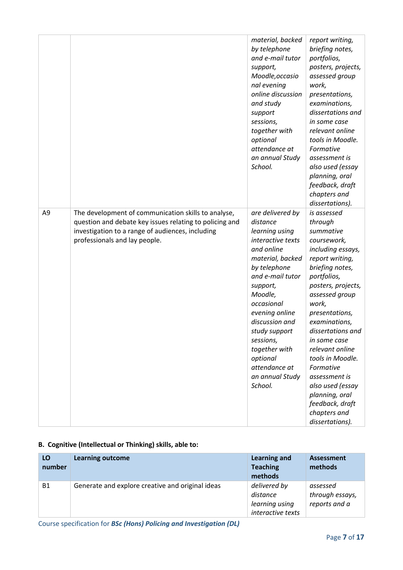|                |                                                                                                                                                                                                     | material, backed<br>by telephone<br>and e-mail tutor<br>support,<br>Moodle, occasio<br>nal evening<br>online discussion<br>and study<br>support<br>sessions,<br>together with<br>optional<br>attendance at<br>an annual Study<br>School.                                                                                     | report writing,<br>briefing notes,<br>portfolios,<br>posters, projects,<br>assessed group<br>work,<br>presentations,<br>examinations,<br>dissertations and<br>in some case<br>relevant online<br>tools in Moodle.<br>Formative<br>assessment is<br>also used (essay<br>planning, oral<br>feedback, draft<br>chapters and<br>dissertations).                                                                            |
|----------------|-----------------------------------------------------------------------------------------------------------------------------------------------------------------------------------------------------|------------------------------------------------------------------------------------------------------------------------------------------------------------------------------------------------------------------------------------------------------------------------------------------------------------------------------|------------------------------------------------------------------------------------------------------------------------------------------------------------------------------------------------------------------------------------------------------------------------------------------------------------------------------------------------------------------------------------------------------------------------|
| A <sub>9</sub> | The development of communication skills to analyse,<br>question and debate key issues relating to policing and<br>investigation to a range of audiences, including<br>professionals and lay people. | are delivered by<br>distance<br>learning using<br>interactive texts<br>and online<br>material, backed<br>by telephone<br>and e-mail tutor<br>support,<br>Moodle,<br>occasional<br>evening online<br>discussion and<br>study support<br>sessions,<br>together with<br>optional<br>attendance at<br>an annual Study<br>School. | is assessed<br>through<br>summative<br>coursework,<br>including essays,<br>report writing,<br>briefing notes,<br>portfolios,<br>posters, projects,<br>assessed group<br>work,<br>presentations,<br>examinations,<br>dissertations and<br>in some case<br>relevant online<br>tools in Moodle.<br>Formative<br>assessment is<br>also used (essay<br>planning, oral<br>feedback, draft<br>chapters and<br>dissertations). |

### **B. Cognitive (Intellectual or Thinking) skills, able to:**

| LO<br>number | <b>Learning outcome</b>                          | Learning and<br><b>Teaching</b><br>methods                      | <b>Assessment</b><br>methods                 |
|--------------|--------------------------------------------------|-----------------------------------------------------------------|----------------------------------------------|
| <b>B1</b>    | Generate and explore creative and original ideas | delivered by<br>distance<br>learning using<br>interactive texts | assessed<br>through essays,<br>reports and a |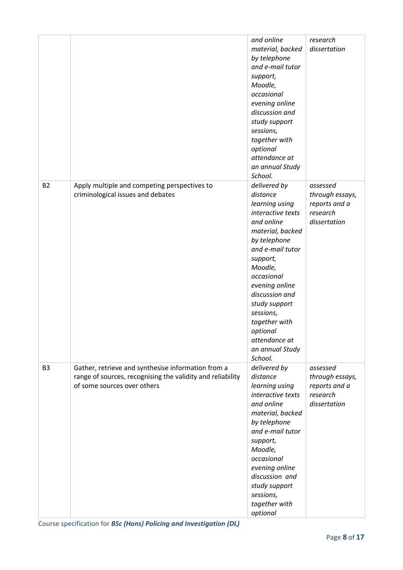|                |                                                                                                                                                 | and online<br>material, backed<br>by telephone<br>and e-mail tutor<br>support,<br>Moodle,<br>occasional<br>evening online<br>discussion and<br>study support<br>sessions,<br>together with<br>optional<br>attendance at<br>an annual Study<br>School.                                                                    | research<br>dissertation                                                 |
|----------------|-------------------------------------------------------------------------------------------------------------------------------------------------|--------------------------------------------------------------------------------------------------------------------------------------------------------------------------------------------------------------------------------------------------------------------------------------------------------------------------|--------------------------------------------------------------------------|
| <b>B2</b>      | Apply multiple and competing perspectives to<br>criminological issues and debates                                                               | delivered by<br>distance<br>learning using<br>interactive texts<br>and online<br>material, backed<br>by telephone<br>and e-mail tutor<br>support,<br>Moodle,<br>occasional<br>evening online<br>discussion and<br>study support<br>sessions,<br>together with<br>optional<br>attendance at<br>an annual Study<br>School. | assessed<br>through essays,<br>reports and a<br>research<br>dissertation |
| B <sub>3</sub> | Gather, retrieve and synthesise information from a<br>range of sources, recognising the validity and reliability<br>of some sources over others | delivered by<br>distance<br>learning using<br>interactive texts<br>and online<br>material, backed<br>by telephone<br>and e-mail tutor<br>support,<br>Moodle,<br>occasional<br>evening online<br>discussion and<br>study support<br>sessions,<br>together with<br>optional                                                | assessed<br>through essays,<br>reports and a<br>research<br>dissertation |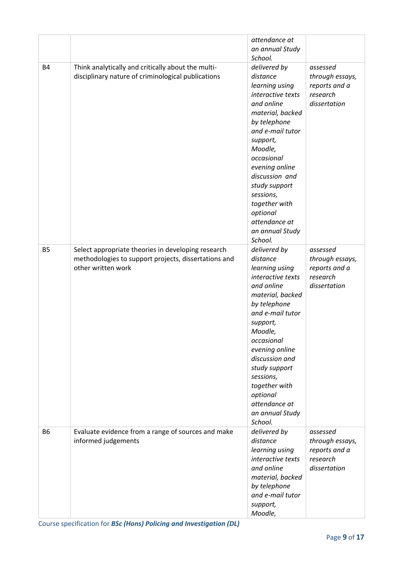|                |                                                                                                                                  | attendance at<br>an annual Study<br>School.                                                                                                                                                                                                                                                                              |                                                                          |
|----------------|----------------------------------------------------------------------------------------------------------------------------------|--------------------------------------------------------------------------------------------------------------------------------------------------------------------------------------------------------------------------------------------------------------------------------------------------------------------------|--------------------------------------------------------------------------|
| <b>B4</b>      | Think analytically and critically about the multi-<br>disciplinary nature of criminological publications                         | delivered by<br>distance<br>learning using<br>interactive texts<br>and online<br>material, backed<br>by telephone<br>and e-mail tutor<br>support,<br>Moodle,<br>occasional<br>evening online<br>discussion and<br>study support<br>sessions,<br>together with<br>optional<br>attendance at<br>an annual Study<br>School. | assessed<br>through essays,<br>reports and a<br>research<br>dissertation |
| <b>B5</b>      | Select appropriate theories in developing research<br>methodologies to support projects, dissertations and<br>other written work | delivered by<br>distance<br>learning using<br>interactive texts<br>and online<br>material, backed<br>by telephone<br>and e-mail tutor<br>support,<br>Moodle,<br>occasional<br>evening online<br>discussion and<br>study support<br>sessions,<br>together with<br>optional<br>attendance at<br>an annual Study<br>School. | assessed<br>through essays,<br>reports and a<br>research<br>dissertation |
| B <sub>6</sub> | Evaluate evidence from a range of sources and make<br>informed judgements                                                        | delivered by<br>distance<br>learning using<br>interactive texts<br>and online<br>material, backed<br>by telephone<br>and e-mail tutor<br>support,<br>Moodle,                                                                                                                                                             | assessed<br>through essays,<br>reports and a<br>research<br>dissertation |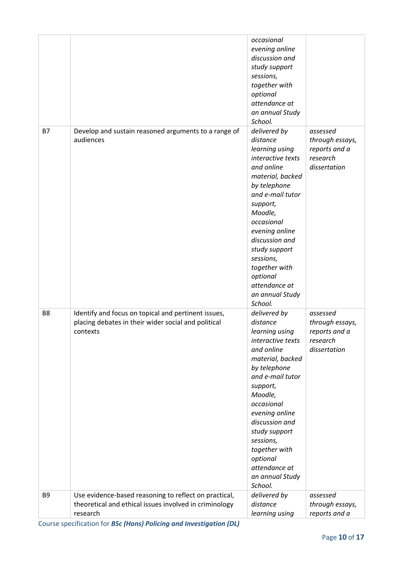|                |                                                                                                                             | occasional<br>evening online<br>discussion and<br>study support<br>sessions,<br>together with<br>optional<br>attendance at<br>an annual Study<br>School.                                                                                                                                                                 |                                                                          |
|----------------|-----------------------------------------------------------------------------------------------------------------------------|--------------------------------------------------------------------------------------------------------------------------------------------------------------------------------------------------------------------------------------------------------------------------------------------------------------------------|--------------------------------------------------------------------------|
| <b>B7</b>      | Develop and sustain reasoned arguments to a range of<br>audiences                                                           | delivered by<br>distance<br>learning using<br>interactive texts<br>and online<br>material, backed<br>by telephone<br>and e-mail tutor<br>support,<br>Moodle,<br>occasional<br>evening online<br>discussion and<br>study support<br>sessions,<br>together with<br>optional<br>attendance at<br>an annual Study<br>School. | assessed<br>through essays,<br>reports and a<br>research<br>dissertation |
| B <sub>8</sub> | Identify and focus on topical and pertinent issues,<br>placing debates in their wider social and political<br>contexts      | delivered by<br>distance<br>learning using<br>interactive texts<br>and online<br>material, backed<br>by telephone<br>and e-mail tutor<br>support,<br>Moodle,<br>occasional<br>evening online<br>discussion and<br>study support<br>sessions,<br>together with<br>optional<br>attendance at<br>an annual Study<br>School. | assessed<br>through essays,<br>reports and a<br>research<br>dissertation |
| B <sub>9</sub> | Use evidence-based reasoning to reflect on practical,<br>theoretical and ethical issues involved in criminology<br>research | delivered by<br>distance<br>learning using                                                                                                                                                                                                                                                                               | assessed<br>through essays,<br>reports and a                             |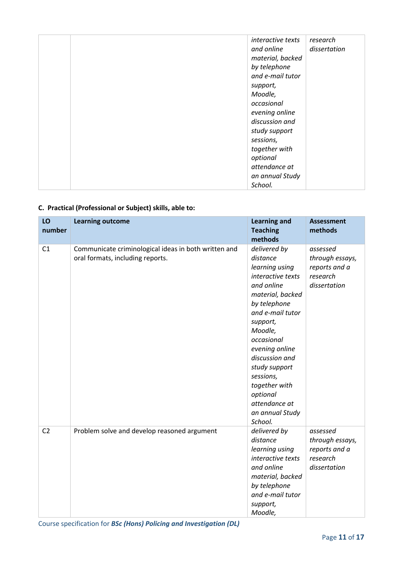| interactive texts | research     |
|-------------------|--------------|
| and online        | dissertation |
| material, backed  |              |
| by telephone      |              |
| and e-mail tutor  |              |
| support,          |              |
| Moodle,           |              |
| occasional        |              |
| evening online    |              |
| discussion and    |              |
| study support     |              |
| sessions,         |              |
| together with     |              |
| optional          |              |
| attendance at     |              |
| an annual Study   |              |
| School.           |              |

### **C. Practical (Professional or Subject) skills, able to:**

| LO<br>number   | <b>Learning outcome</b>                                                                  | <b>Learning and</b><br><b>Teaching</b><br>methods                                                                                                                                                                                                                                                                        | <b>Assessment</b><br>methods                                             |
|----------------|------------------------------------------------------------------------------------------|--------------------------------------------------------------------------------------------------------------------------------------------------------------------------------------------------------------------------------------------------------------------------------------------------------------------------|--------------------------------------------------------------------------|
| C1             | Communicate criminological ideas in both written and<br>oral formats, including reports. | delivered by<br>distance<br>learning using<br>interactive texts<br>and online<br>material, backed<br>by telephone<br>and e-mail tutor<br>support,<br>Moodle,<br>occasional<br>evening online<br>discussion and<br>study support<br>sessions,<br>together with<br>optional<br>attendance at<br>an annual Study<br>School. | assessed<br>through essays,<br>reports and a<br>research<br>dissertation |
| C <sub>2</sub> | Problem solve and develop reasoned argument                                              | delivered by<br>distance<br>learning using<br>interactive texts<br>and online<br>material, backed<br>by telephone<br>and e-mail tutor<br>support,<br>Moodle,                                                                                                                                                             | assessed<br>through essays,<br>reports and a<br>research<br>dissertation |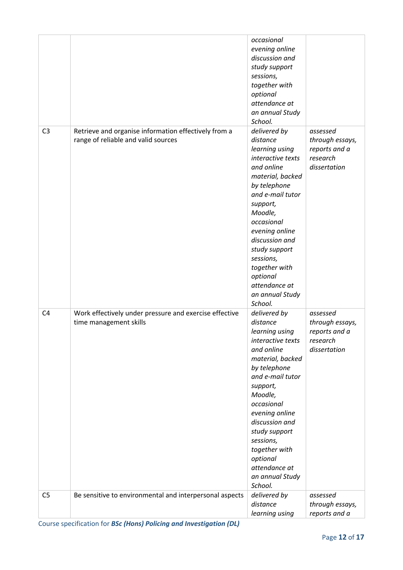|                |                                                                                             | occasional<br>evening online<br>discussion and<br>study support<br>sessions,<br>together with<br>optional<br>attendance at<br>an annual Study<br>School.                                                                                                                                                                 |                                                                          |
|----------------|---------------------------------------------------------------------------------------------|--------------------------------------------------------------------------------------------------------------------------------------------------------------------------------------------------------------------------------------------------------------------------------------------------------------------------|--------------------------------------------------------------------------|
| C <sub>3</sub> | Retrieve and organise information effectively from a<br>range of reliable and valid sources | delivered by<br>distance<br>learning using<br>interactive texts<br>and online<br>material, backed<br>by telephone<br>and e-mail tutor<br>support,<br>Moodle,<br>occasional<br>evening online<br>discussion and<br>study support<br>sessions,<br>together with<br>optional<br>attendance at<br>an annual Study<br>School. | assessed<br>through essays,<br>reports and a<br>research<br>dissertation |
| C <sub>4</sub> | Work effectively under pressure and exercise effective<br>time management skills            | delivered by<br>distance<br>learning using<br>interactive texts<br>and online<br>material, backed<br>by telephone<br>and e-mail tutor<br>support,<br>Moodle,<br>occasional<br>evening online<br>discussion and<br>study support<br>sessions,<br>together with<br>optional<br>attendance at<br>an annual Study            | assessed<br>through essays,<br>reports and a<br>research<br>dissertation |
| C <sub>5</sub> | Be sensitive to environmental and interpersonal aspects                                     | School.<br>delivered by<br>distance<br>learning using                                                                                                                                                                                                                                                                    | assessed<br>through essays,<br>reports and a                             |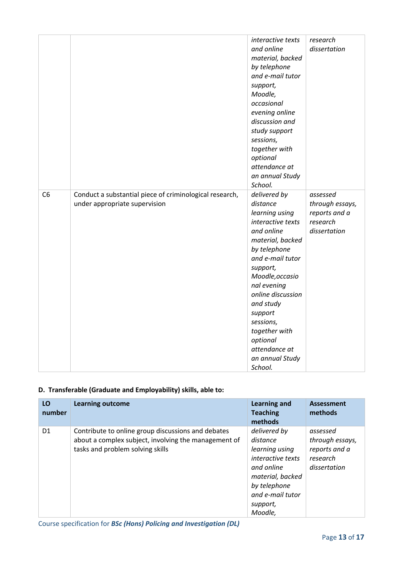|                |                                                                                          | interactive texts<br>and online<br>material, backed<br>by telephone<br>and e-mail tutor<br>support,<br>Moodle,<br>occasional<br>evening online<br>discussion and<br>study support<br>sessions,<br>together with<br>optional<br>attendance at<br>an annual Study<br>School.                                                | research<br>dissertation                                                 |
|----------------|------------------------------------------------------------------------------------------|---------------------------------------------------------------------------------------------------------------------------------------------------------------------------------------------------------------------------------------------------------------------------------------------------------------------------|--------------------------------------------------------------------------|
| C <sub>6</sub> | Conduct a substantial piece of criminological research,<br>under appropriate supervision | delivered by<br>distance<br>learning using<br>interactive texts<br>and online<br>material, backed<br>by telephone<br>and e-mail tutor<br>support,<br>Moodle, occasio<br>nal evening<br>online discussion<br>and study<br>support<br>sessions,<br>together with<br>optional<br>attendance at<br>an annual Study<br>School. | assessed<br>through essays,<br>reports and a<br>research<br>dissertation |

### **D. Transferable (Graduate and Employability) skills, able to:**

| LO<br>number   | <b>Learning outcome</b>                                                                                                                        | <b>Learning and</b><br><b>Teaching</b><br>methods                                                                                                                   | <b>Assessment</b><br>methods                                             |
|----------------|------------------------------------------------------------------------------------------------------------------------------------------------|---------------------------------------------------------------------------------------------------------------------------------------------------------------------|--------------------------------------------------------------------------|
| D <sub>1</sub> | Contribute to online group discussions and debates<br>about a complex subject, involving the management of<br>tasks and problem solving skills | delivered by<br>distance<br>learning using<br><i>interactive texts</i><br>and online<br>material, backed<br>by telephone<br>and e-mail tutor<br>support,<br>Moodle, | assessed<br>through essays,<br>reports and a<br>research<br>dissertation |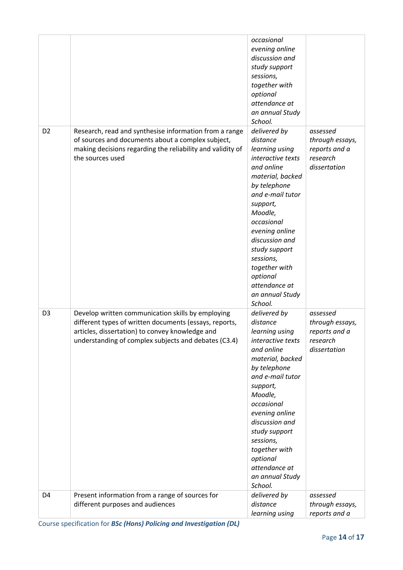|                |                                                                                                                                                                                                                        | occasional<br>evening online<br>discussion and<br>study support<br>sessions,<br>together with<br>optional<br>attendance at<br>an annual Study<br>School.                                                                                                                                                                 |                                                                          |
|----------------|------------------------------------------------------------------------------------------------------------------------------------------------------------------------------------------------------------------------|--------------------------------------------------------------------------------------------------------------------------------------------------------------------------------------------------------------------------------------------------------------------------------------------------------------------------|--------------------------------------------------------------------------|
| D <sub>2</sub> | Research, read and synthesise information from a range<br>of sources and documents about a complex subject,<br>making decisions regarding the reliability and validity of<br>the sources used                          | delivered by<br>distance<br>learning using<br>interactive texts<br>and online<br>material, backed<br>by telephone<br>and e-mail tutor<br>support,<br>Moodle,<br>occasional<br>evening online<br>discussion and<br>study support<br>sessions,<br>together with<br>optional<br>attendance at<br>an annual Study<br>School. | assessed<br>through essays,<br>reports and a<br>research<br>dissertation |
| D <sub>3</sub> | Develop written communication skills by employing<br>different types of written documents (essays, reports,<br>articles, dissertation) to convey knowledge and<br>understanding of complex subjects and debates (C3.4) | delivered by<br>distance<br>learning using<br>interactive texts<br>and online<br>material, backed<br>by telephone<br>and e-mail tutor<br>support,<br>Moodle,<br>occasional<br>evening online<br>discussion and<br>study support<br>sessions,<br>together with<br>optional<br>attendance at<br>an annual Study<br>School. | assessed<br>through essays,<br>reports and a<br>research<br>dissertation |
| D4             | Present information from a range of sources for<br>different purposes and audiences                                                                                                                                    | delivered by<br>distance<br>learning using                                                                                                                                                                                                                                                                               | assessed<br>through essays,<br>reports and a                             |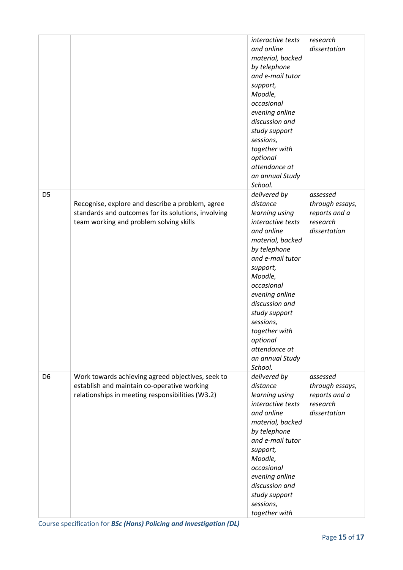|                |                                                                                                                                                      | interactive texts<br>and online<br>material, backed<br>by telephone<br>and e-mail tutor<br>support,<br>Moodle,<br>occasional<br>evening online<br>discussion and<br>study support<br>sessions,<br>together with<br>optional<br>attendance at<br>an annual Study<br>School.                                               | research<br>dissertation                                                 |
|----------------|------------------------------------------------------------------------------------------------------------------------------------------------------|--------------------------------------------------------------------------------------------------------------------------------------------------------------------------------------------------------------------------------------------------------------------------------------------------------------------------|--------------------------------------------------------------------------|
| D <sub>5</sub> | Recognise, explore and describe a problem, agree<br>standards and outcomes for its solutions, involving<br>team working and problem solving skills   | delivered by<br>distance<br>learning using<br>interactive texts<br>and online<br>material, backed<br>by telephone<br>and e-mail tutor<br>support,<br>Moodle,<br>occasional<br>evening online<br>discussion and<br>study support<br>sessions,<br>together with<br>optional<br>attendance at<br>an annual Study<br>School. | assessed<br>through essays,<br>reports and a<br>research<br>dissertation |
| D <sub>6</sub> | Work towards achieving agreed objectives, seek to<br>establish and maintain co-operative working<br>relationships in meeting responsibilities (W3.2) | delivered by<br>distance<br>learning using<br>interactive texts<br>and online<br>material, backed<br>by telephone<br>and e-mail tutor<br>support,<br>Moodle,<br>occasional<br>evening online<br>discussion and<br>study support<br>sessions,<br>together with                                                            | assessed<br>through essays,<br>reports and a<br>research<br>dissertation |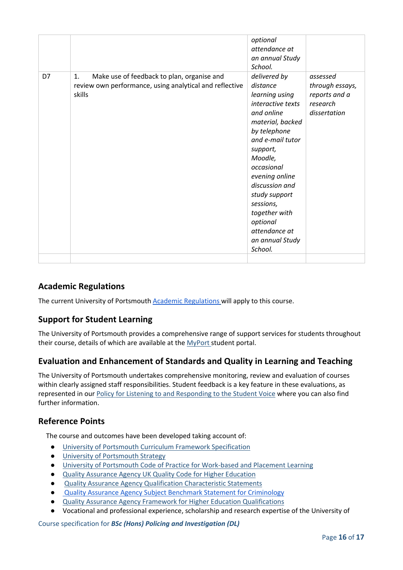|    |                                                                                                                                   | optional<br>attendance at<br>an annual Study<br>School.                                                                                                                                                                                                                                                                         |                                                                          |
|----|-----------------------------------------------------------------------------------------------------------------------------------|---------------------------------------------------------------------------------------------------------------------------------------------------------------------------------------------------------------------------------------------------------------------------------------------------------------------------------|--------------------------------------------------------------------------|
| D7 | Make use of feedback to plan, organise and<br>$\mathbf{1}$ .<br>review own performance, using analytical and reflective<br>skills | delivered by<br>distance<br>learning using<br><i>interactive texts</i><br>and online<br>material, backed<br>by telephone<br>and e-mail tutor<br>support,<br>Moodle,<br>occasional<br>evening online<br>discussion and<br>study support<br>sessions,<br>together with<br>optional<br>attendance at<br>an annual Study<br>School. | assessed<br>through essays,<br>reports and a<br>research<br>dissertation |
|    |                                                                                                                                   |                                                                                                                                                                                                                                                                                                                                 |                                                                          |

## **Academic Regulations**

The current University of Portsmouth **Academic Regulations** will apply to this course.

#### **Support for Student Learning**

The University of Portsmouth provides a comprehensive range of support services for students throughout their course, details of which are available at the [MyPort](http://myport.ac.uk/) student portal.

#### **Evaluation and Enhancement of Standards and Quality in Learning and Teaching**

The University of Portsmouth undertakes comprehensive monitoring, review and evaluation of courses within clearly assigned staff responsibilities. Student feedback is a key feature in these evaluations, as represented in our [Policy for Listening to and Responding to the Student Voice](http://policies.docstore.port.ac.uk/policy-069.pdf) where you can also find further information.

#### **Reference Points**

The course and outcomes have been developed taking account of:

- [University of Portsmouth Curriculum Framework Specification](http://policies.docstore.port.ac.uk/policy-217.pdf?_ga=2.262170252.1863271531.1625471462-353504235.1613498042)
- [University of Portsmouth Strategy](https://www.port.ac.uk/about-us/our-ambition/our-strategy)
- [University of Portsmouth Code of Practice for Work-based and Placement Learning](http://policies.docstore.port.ac.uk/policy-151.pdf)
- [Quality Assurance Agency UK Quality Code for Higher Education](https://www.qaa.ac.uk/quality-code)
- [Quality Assurance Agency Qualification Characteristic Statements](https://www.qaa.ac.uk/quality-code/characteristics-statements)
- **[Quality Assurance Agency Subject Benchmark Statement for Criminology](https://www.qaa.ac.uk/docs/qaa/subject-benchmark-statements/subject-benchmark-statement-criminology.pdf?sfvrsn=8f2c881_4)**
- [Quality Assurance Agency Framework for Higher Education Qualifications](https://www.qaa.ac.uk/quality-code/qualifications-frameworks)
- Vocational and professional experience, scholarship and research expertise of the University of